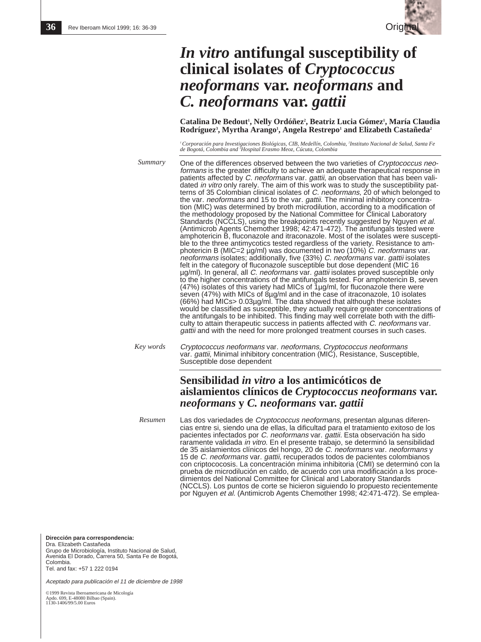

# *In vitro* **antifungal susceptibility of clinical isolates of** *Cryptococcus neoformans* **var.** *neoformans* **and** *C. neoformans* **var.** *gattii*

Catalina De Bedout<sup>1</sup>, Nelly Ordóñez<sup>2</sup>, Beatriz Lucia Gómez<sup>1</sup>, María Claudia **Rodríguez3 , Myrtha Arango1 , Angela Restrepo1 and Elizabeth Castañeda2** 

' Corporación para Investigaciones Biológicas, CIB, Medellín, Colombia, <sup>2</sup>Instituto Nacional de Salud, Santa Fe<br>de Bogotá, Colombia and <sup>3</sup>Hospital Erasmo Meoz, Cúcuta, Colombia

One of the differences observed between the two varieties of Cryptococcus neoformans is the greater difficulty to achieve an adequate therapeutical response in patients affected by C. neoformans var. gattii, an observation that has been validated in vitro only rarely. The aim of this work was to study the susceptibility patterns of 35 Colombian clinical isolates of C. neoformans, 20 of which belonged to the var. *neoformans* and 15 to the var. *gattii*. The minimal inhibitory concentration (MIC) was determined by broth microdilution, according to a modification of the methodology proposed by the National Committee for Clinical Laboratory Standards (NCCLS), using the breakpoints recently suggested by Nguyen et al. (Antimicrob Agents Chemother 1998; 42:471-472). The antifungals tested were amphotericin B, fluconazole and itraconazole. Most of the isolates were susceptible to the three antimycotics tested regardless of the variety. Resistance to amphotericin B (MIC=2 µg/ml) was documented in two (10%) C. neoformans var. neoformans isolates; additionally, five (33%) C. neoformans var. gattii isolates felt in the category of fluconazole susceptible but dose dependent (MIC 16 µg/ml). In general, all C. neoformans var. gattii isolates proved susceptible only to the higher concentrations of the antifungals tested. For amphotericin B, seven (47%) isolates of this variety had MICs of  $1\mu g/ml$ , for fluconazole there were seven (47%) with MICs of 8µg/ml and in the case of itraconazole, 10 isolates (66%) had MICs> 0.03µg/ml. The data showed that although these isolates would be classified as susceptible, they actually require greater concentrations of the antifungals to be inhibited. This finding may well correlate both with the difficulty to attain therapeutic success in patients affected with C. neoformans var. gattii and with the need for more prolonged treatment courses in such cases. *Summary*

Cryptococcus neoformans var. neoformans, Cryptococcus neoformans var. *gattii,* Minimal inhibitory concentration (MIC), Resistance, Susceptible, Susceptible dose dependent *Key words*

## **Sensibilidad** *in vitro* **a los antimicóticos de aislamientos clínicos de** *Cryptococcus neoformans* **var.** *neoformans* **y** *C. neoformans* **var.** *gattii*

Las dos variedades de Cryptococcus neoformans, presentan algunas diferencias entre si, siendo una de ellas, la dificultad para el tratamiento exitoso de los pacientes infectados por C. neoformans var. gattii. Esta observación ha sido raramente validada in vitro. En el presente trabajo, se determinó la sensibilidad de 35 aislamientos clínicos del hongo, 20 de C. neoformans var. neoformans y 15 de C. neoformans var. gattii, recuperados todos de pacientes colombianos con criptococosis. La concentración mínima inhibitoria (CMI) se determinó con la prueba de microdilución en caldo, de acuerdo con una modificación a los procedimientos del National Committee for Clinical and Laboratory Standards (NCCLS). Los puntos de corte se hicieron siguiendo lo propuesto recientemente por Nguyen et al. (Antimicrob Agents Chemother 1998; 42:471-472). Se emplea-*Resumen*

**Dirección para correspondencia:** Dra. Elizabeth Castañeda Grupo de Microbiología, Instituto Nacional de Salud, Avenida El Dorado, Carrera 50, Santa Fe de Bogotá, **Colombia** Tel. and fax: +57 1 222 0194

Aceptado para publicación el 11 de diciembre de 1998

©1999 Revista Iberoamericana de Micología Apdo. 699, E-48080 Bilbao (Spain). 1130-1406/99/5.00 Euros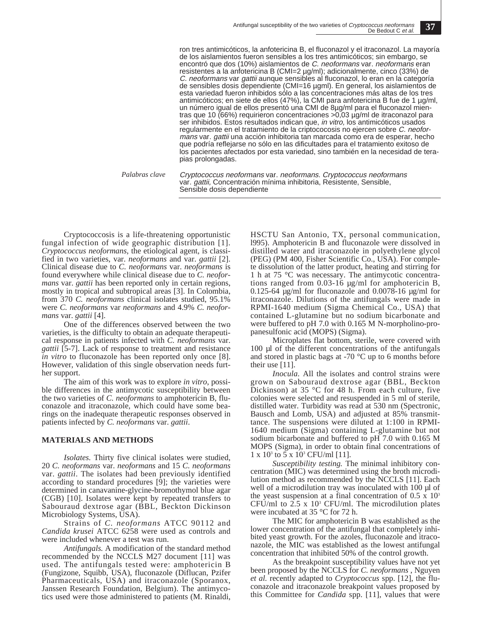ron tres antimicóticos, la anfotericina B, el fluconazol y el itraconazol. La mayoría de los aislamientos fueron sensibles a los tres antimicóticos; sin embargo, se encontró que dos (10%) aislamientos de C. neoformans var. neoformans eran resistentes a la anfotericina B (CMI=2 µg/ml); adicionalmente, cinco (33%) de C. neoformans var gattii aunque sensibles al fluconazol, lo eran en la categoría de sensibles dosis dependiente (CMI=16 µgml). En general, los aislamientos de esta variedad fueron inhibidos sólo a las concentraciones más altas de los tres antimicóticos; en siete de ellos (47%), la CMI para anfotericina B fue de 1 µg/ml, un número igual de ellos presentó una CMI de 8µg/ml para el fluconazol mientras que 10 (66%) requirieron concentraciones >0,03 µg/ml de itraconazol para ser inhibidos. Estos resultados indican que, in vitro, los antimicóticos usados regularmente en el tratamiento de la criptococosis no ejercen sobre C. neoformans var. gattii una acción inhibitoria tan marcada como era de esperar, hecho que podría reflejarse no sólo en las dificultades para el tratamiento exitoso de los pacientes afectados por esta variedad, sino también en la necesidad de terapias prolongadas.

*Palabras clave*

Cryptococcus neoformans var. neoformans. Cryptococcus neoformans var. gattii, Concentración mínima inhibitoria, Resistente, Sensible, Sensible dosis dependiente

Cryptococcosis is a life-threatening opportunistic fungal infection of wide geographic distribution [1]. *Cryptococcus neoformans*, the etiological agent, is classified in two varieties, var. *neoformans* and var. *gattii* [2]. Clinical disease due to *C. neoformans* var. *neoformans* is found everywhere while clinical disease due to *C. neoformans* var. *gattii* has been reported only in certain regions, mostly in tropical and subtropical areas [3]. In Colombia, from 370 *C. neoformans* clinical isolates studied, 95.1% were *C. neoformans* var *neoformans* and 4.9% *C. neoformans* var. *gattii* [4].

One of the differences observed between the two varieties, is the difficulty to obtain an adequate therapeutical response in patients infected with *C. neoformans* var. *gattii* [5-7]. Lack of response to treatment and resistance *in vitro* to fluconazole has been reported only once [8]. However, validation of this single observation needs further support.

The aim of this work was to explore *in vitro*, possible differences in the antimycotic susceptibility between the two varieties of *C. neoformans* to amphotericin B, fluconazole and itraconazole, which could have some bearings on the inadequate therapeutic responses observed in patients infected by *C. neoformans* var. *gattii*.

#### **MATERIALS AND METHODS**

*Isolates.* Thirty five clinical isolates were studied, 20 *C. neoformans* var. *neoformans* and 15 *C. neoformans* var. *gattii*. The isolates had been previously identified according to standard procedures  $[9]$ ; the varieties were determined in canavanine-glycine-bromothymol blue agar (CGB) [10]. Isolates were kept by repeated transfers to Sabouraud dextrose agar (BBL, Beckton Dickinson Microbiology Systems, USA).

Strains of *C. neoformans* ATCC 90112 and *Candida krusei* ATCC 6258 were used as controls and were included whenever a test was run.

*Antifungals.* A modification of the standard method recommended by the NCCLS M27 document [11] was used. The antifungals tested were: amphotericin B (Fungizone, Squibb, USA), fluconazole (Diflucan, Pzifer Pharmaceuticals, USA) and itraconazole (Sporanox, Janssen Research Foundation, Belgium). The antimycotics used were those administered to patients (M. Rinaldi,

HSCTU San Antonio, TX, personal communication, l995). Amphotericin B and fluconazole were dissolved in distilled water and itraconazole in polyethylene glycol (PEG) (PM 400, Fisher Scientific Co., USA). For complete dissolution of the latter product, heating and stirring for 1 h at 75 °C was necessary. The antimycotic concentrations ranged from 0.03-16 µg/ml for amphotericin B, 0.125-64 µg/ml for fluconazole and 0.0078-16 µg/ml for itraconazole. Dilutions of the antifungals were made in RPMI-1640 medium (Sigma Chemical Co., USA) that contained L-glutamine but no sodium bicarbonate and were buffered to pH 7.0 with 0.165 M N-morpholino-propanesulfonic acid (MOPS) (Sigma).

Microplates flat bottom, sterile, were covered with 100 ul of the different concentrations of the antifungals and stored in plastic bags at -70 °C up to 6 months before their use [11].

*Inocula.* All the isolates and control strains were grown on Sabouraud dextrose agar (BBL, Beckton Dickinson) at 35 °C for 48 h. From each culture, five colonies were selected and resuspended in 5 ml of sterile, distilled water. Turbidity was read at 530 nm (Spectronic, Bausch and Lomb, USA) and adjusted at 85% transmittance. The suspensions were diluted at 1:100 in RPMI-1640 medium (Sigma) containing L-glutamine but not sodium bicarbonate and buffered to pH 7.0 with 0.165 M MOPS (Sigma), in order to obtain final concentrations of  $1 \times 10^3$  to 5 x  $10^3$  CFU/ml [11].

*Susceptibility testing.* The minimal inhibitory concentration (MIC) was determined using the broth microdilution method as recommended by the NCCLS [11]. Each well of a microdilution tray was inoculated with 100 µl of the yeast suspension at a final concentration of  $0.5 \times 10^3$ CFU/ml to  $2.5 \times 10^3$  CFU/ml. The microdilution plates were incubated at 35 °C for 72 h.

The MIC for amphotericin B was established as the lower concentration of the antifungal that completely inhibited yeast growth. For the azoles, fluconazole and itraconazole, the MIC was established as the lowest antifungal concentration that inhibited 50% of the control growth.

As the breakpoint susceptibility values have not yet been proposed by the NCCLS for *C. neoformans* , Nguyen *et al.* recently adapted to *Cryptococcus* spp. [12], the fluconazole and itraconazole breakpoint values proposed by this Committee for *Candida* spp. [11], values that were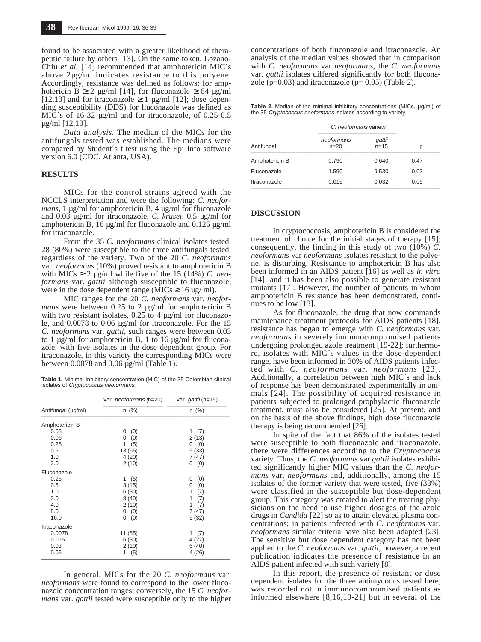found to be associated with a greater likelihood of therapeutic failure by others [13]. On the same token, Lozano-Chiu *et al.* [14] recommended that amphotericin MIC's above 2µg/ml indicates resistance to this polyene. Accordingly, resistance was defined as follows: for amphotericin B  $\geq 2$  µg/ml [14], for fluconazole  $\geq 64$  µg/ml [12,13] and for itraconazole  $\geq 1$  µg/ml [12]; dose depending susceptibility (DDS) for fluconazole was defined as MIC's of 16-32  $\mu$ g/ml and for itraconazole, of 0.25-0.5 µg/ml [12,13].

*Data analysis.* The median of the MICs for the antifungals tested was established. The medians were compared by Student´s t test using the Epi Info software version 6.0 (CDC, Atlanta, USA).

#### **RESULTS**

MICs for the control strains agreed with the NCCLS interpretation and were the following: *C. neoformans*, 1 µg/ml for amphotericin B, 4 µg/ml for fluconazole and 0.03 µg/ml for itraconazole. *C. krusei,* 0,5 µg/ml for amphotericin B, 16  $\mu$ g/ml for fluconazole and 0.125  $\mu$ g/ml for itraconazole.

From the 35 *C. neoformans* clinical isolates tested, 28 (80%) were susceptible to the three antifungals tested, regardless of the variety. Two of the 20 *C. neoformans* var. *neoformans* (10%) proved resistant to amphotericin B with  $\text{MICs} \geq 2 \text{ µg/ml}$  while five of the 15 (14%) *C. neoformans* var. *gattii* although susceptible to fluconazole, were in the dose dependent range (MICs  $\geq$  16 µg/ ml).

MIC ranges for the 20 *C. neoformans* var. *neoformans* were between 0.25 to 2 µg/ml for amphotericin B with two resistant isolates,  $0.25\overline{6}$  4 µg/ml for fluconazole, and 0.0078 to 0.06 µg/ml for itraconazole. For the 15 *C. neoformans* var. *gattii*, such ranges were between 0.03 to 1  $\mu$ g/ml for amphotericin B, 1 to 16  $\mu$ g/ml for fluconazole, with five isolates in the dose dependent group. For itraconazole, in this variety the corresponding MICs were between  $0.0078$  and  $0.06 \mu g/ml$  (Table 1).

**Table 1.** Minimal Inhibitory concentration (MIC) of the 35 Colombian clinical isolates of *Cryptococcus neoformans*.

|                    | var. <i>neoformans</i> (n=20) var. <i>gattii</i> (n=15) | n (%)    |  |
|--------------------|---------------------------------------------------------|----------|--|
| Antifungal (µg/ml) | $n$ (%)                                                 |          |  |
| Amphotericin B     |                                                         |          |  |
| 0.03               | (0)<br>0                                                | 1 $(7)$  |  |
| 0.06               | (0)<br>0                                                | 2(13)    |  |
| 0.25               | 1(5)                                                    | 0(0)     |  |
| 0.5                | 13 (65)                                                 | 5(33)    |  |
| 1.0                | 4(20)                                                   | 7(47)    |  |
| 2.0                | 2(10)                                                   | 0(0)     |  |
| Fluconazole        |                                                         |          |  |
| 0.25               | 1(5)                                                    | (0)<br>0 |  |
| 0.5                | 3(15)                                                   | (0)<br>0 |  |
| 1.0                | 6(30)                                                   | 1<br>(7) |  |
| 2.0                | 8(40)                                                   | 1<br>(7) |  |
| 4.0                | 2(10)                                                   | 1<br>(7) |  |
| 8.0                | 0(0)                                                    | 7(47)    |  |
| 16.0               | (0)<br>0                                                | 5(32)    |  |
| Itraconazole       |                                                         |          |  |
| 0.0078             | 11 (55)                                                 | 1<br>(7) |  |
| 0.015              | 6(30)                                                   | 4(27)    |  |
| 0.03               | 2(10)                                                   | 6(40)    |  |
| 0.06               | 1 $(5)$                                                 | 4(26)    |  |

In general, MICs for the 20 *C. neoformans* var. *neoformans* were found to correspond to the lower fluconazole concentration ranges; conversely, the 15 *C. neoformans* var. *gattii* tested were susceptible only to the higher

concentrations of both fluconazole and itraconazole. An analysis of the median values showed that in comparison with *C. neoformans* var *neoformans*, the *C. neoformans* var. *gattii* isolates differed significantly for both fluconazole ( $p=0.03$ ) and itraconazole ( $p=0.05$ ) (Table 2).

**Table 2.** Median of the minimal inhibitory concentrations (MICs, ug/ml) of the 35 Cryptococcus neoformans isolates according to variety.

| Antifungal     | C. neoformans variety |                    |      |
|----------------|-----------------------|--------------------|------|
|                | neoformans<br>$n=20$  | gattii<br>$n = 15$ | р    |
| Amphotericin B | 0.790                 | 0.640              | 0.47 |
| Fluconazole    | 1.590                 | 9.530              | 0.03 |
| Itraconazole   | 0.015                 | 0.032              | 0.05 |

### **DISCUSSION**

In cryptococcosis, amphotericin B is considered the treatment of choice for the initial stages of therapy [15]; consequently, the finding in this study of two  $(10\%)$  *C*. *neoformans* var *neoformans* isolates resistant to the polyene, is disturbing. Resistance to amphotericin B has also been informed in an AIDS patient [16] as well as *in vitro* [14], and it has been also possible to generate resistant mutants [17]. However, the number of patients in whom amphotericin B resistance has been demonstrated, continues to be low [13].

As for fluconazole, the drug that now commands maintenance treatment protocols for AIDS patients [18], resistance has began to emerge with *C. neoformans* var. *neoformans* in severely immunocompromised patients undergoing prolonged azole treatment [19-22]; furthermore, isolates with MIC´s values in the dose-dependent range, have been informed in 30% of AIDS patients infected with *C. neoformans* var. *neoformans* [23]. Additionally, a correlation between high MIC´s and lack of response has been demonstrated experimentally in animals [24]. The possibility of acquired resistance in patients subjected to prolonged prophylactic fluconazole treatment, must also be considered [25]. At present, and on the basis of the above findings, high dose fluconazole therapy is being recommended [26].

In spite of the fact that 86% of the isolates tested were susceptible to both fluconazole and itraconazole, there were differences according to the *Cryptococcus* variety. Thus, the *C. neoformans* var *gattii* isolates exhibited significantly higher MIC values than the *C. neoformans* var. *neoformans* and, additionally, among the 15 isolates of the former variety that were tested, five (33%) were classified in the susceptible but dose-dependent group. This category was created to alert the treating physicians on the need to use higher dosages of the azole drugs in *Candida* [22] so as to attain elevated plasma concentrations; in patients infected with *C. neoformans* var. *neoformans* similar criteria have also been adapted [23]. The sensitive but dose dependent category has not been applied to the *C. neoformans* var. *gattii*; however, a recent publication indicates the presence of resistance in an AIDS patient infected with such variety [8].

In this report, the presence of resistant or dose dependent isolates for the three antimycotics tested here, was recorded not in immunocompromised patients as informed elsewhere [8,16,19-21] but in several of the